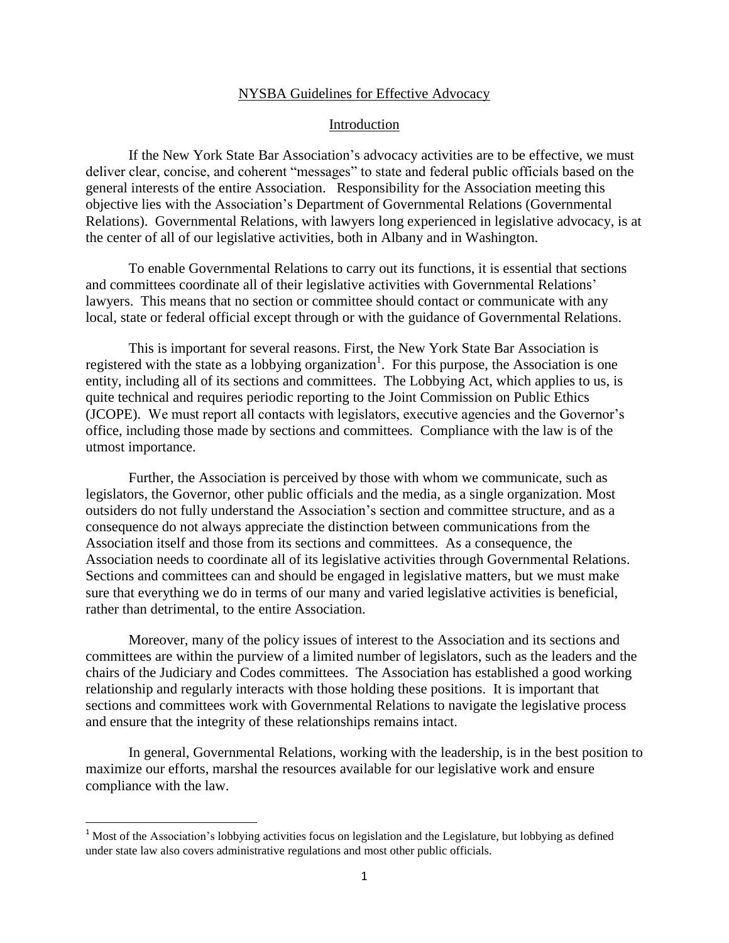## NYSBA Guidelines for Effective Advocacy

## Introduction

If the New York State Bar Association's advocacy activities are to be effective, we must deliver clear, concise, and coherent "messages" to state and federal public officials based on the general interests of the entire Association. Responsibility for the Association meeting this objective lies with the Association's Department of Governmental Relations (Governmental Relations). Governmental Relations, with lawyers long experienced in legislative advocacy, is at the center of all of our legislative activities, both in Albany and in Washington.

To enable Governmental Relations to carry out its functions, it is essential that sections and committees coordinate all of their legislative activities with Governmental Relations' lawyers. This means that no section or committee should contact or communicate with any local, state or federal official except through or with the guidance of Governmental Relations.

This is important for several reasons. First, the New York State Bar Association is registered with the state as a lobbying organization<sup>1</sup>. For this purpose, the Association is one entity, including all of its sections and committees. The Lobbying Act, which applies to us, is quite technical and requires periodic reporting to the Joint Commission on Public Ethics (JCOPE). We must report all contacts with legislators, executive agencies and the Governor's office, including those made by sections and committees. Compliance with the law is of the utmost importance.

Further, the Association is perceived by those with whom we communicate, such as legislators, the Governor, other public officials and the media, as a single organization. Most outsiders do not fully understand the Association's section and committee structure, and as a consequence do not always appreciate the distinction between communications from the Association itself and those from its sections and committees. As a consequence, the Association needs to coordinate all of its legislative activities through Governmental Relations. Sections and committees can and should be engaged in legislative matters, but we must make sure that everything we do in terms of our many and varied legislative activities is beneficial, rather than detrimental, to the entire Association.

Moreover, many of the policy issues of interest to the Association and its sections and committees are within the purview of a limited number of legislators, such as the leaders and the chairs of the Judiciary and Codes committees. The Association has established a good working relationship and regularly interacts with those holding these positions. It is important that sections and committees work with Governmental Relations to navigate the legislative process and ensure that the integrity of these relationships remains intact.

In general, Governmental Relations, working with the leadership, is in the best position to maximize our efforts, marshal the resources available for our legislative work and ensure compliance with the law.

l

 $1$  Most of the Association's lobbying activities focus on legislation and the Legislature, but lobbying as defined under state law also covers administrative regulations and most other public officials.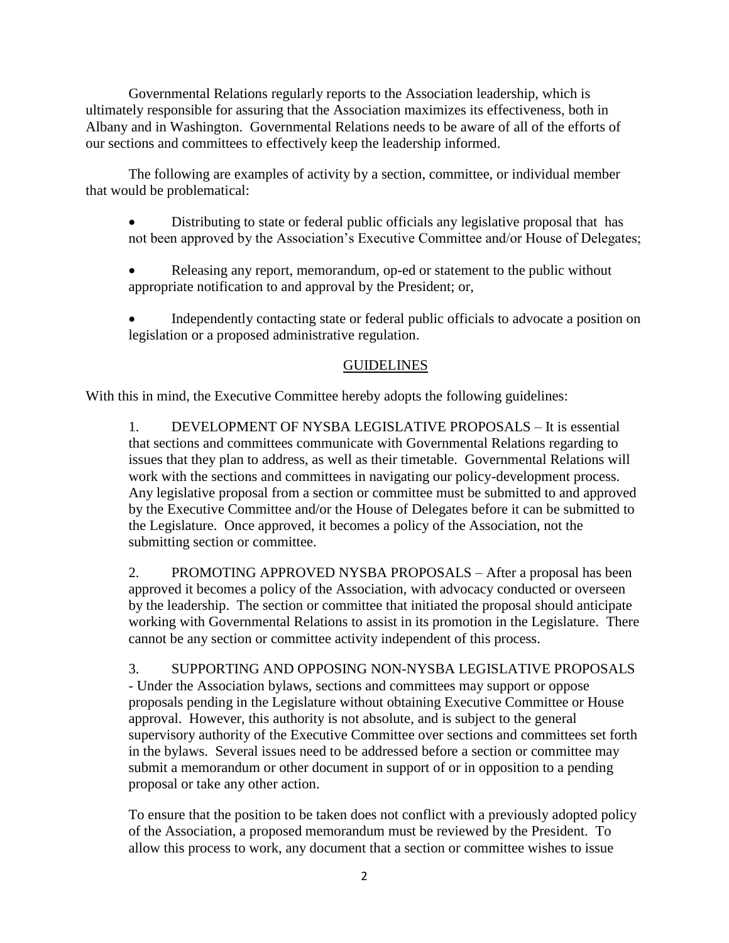Governmental Relations regularly reports to the Association leadership, which is ultimately responsible for assuring that the Association maximizes its effectiveness, both in Albany and in Washington. Governmental Relations needs to be aware of all of the efforts of our sections and committees to effectively keep the leadership informed.

The following are examples of activity by a section, committee, or individual member that would be problematical:

- Distributing to state or federal public officials any legislative proposal that has not been approved by the Association's Executive Committee and/or House of Delegates;
- Releasing any report, memorandum, op-ed or statement to the public without appropriate notification to and approval by the President; or,
- Independently contacting state or federal public officials to advocate a position on legislation or a proposed administrative regulation.

## GUIDELINES

With this in mind, the Executive Committee hereby adopts the following guidelines:

1. DEVELOPMENT OF NYSBA LEGISLATIVE PROPOSALS – It is essential that sections and committees communicate with Governmental Relations regarding to issues that they plan to address, as well as their timetable. Governmental Relations will work with the sections and committees in navigating our policy-development process. Any legislative proposal from a section or committee must be submitted to and approved by the Executive Committee and/or the House of Delegates before it can be submitted to the Legislature. Once approved, it becomes a policy of the Association, not the submitting section or committee.

2. PROMOTING APPROVED NYSBA PROPOSALS – After a proposal has been approved it becomes a policy of the Association, with advocacy conducted or overseen by the leadership. The section or committee that initiated the proposal should anticipate working with Governmental Relations to assist in its promotion in the Legislature. There cannot be any section or committee activity independent of this process.

3. SUPPORTING AND OPPOSING NON-NYSBA LEGISLATIVE PROPOSALS - Under the Association bylaws, sections and committees may support or oppose proposals pending in the Legislature without obtaining Executive Committee or House approval. However, this authority is not absolute, and is subject to the general supervisory authority of the Executive Committee over sections and committees set forth in the bylaws. Several issues need to be addressed before a section or committee may submit a memorandum or other document in support of or in opposition to a pending proposal or take any other action.

To ensure that the position to be taken does not conflict with a previously adopted policy of the Association, a proposed memorandum must be reviewed by the President. To allow this process to work, any document that a section or committee wishes to issue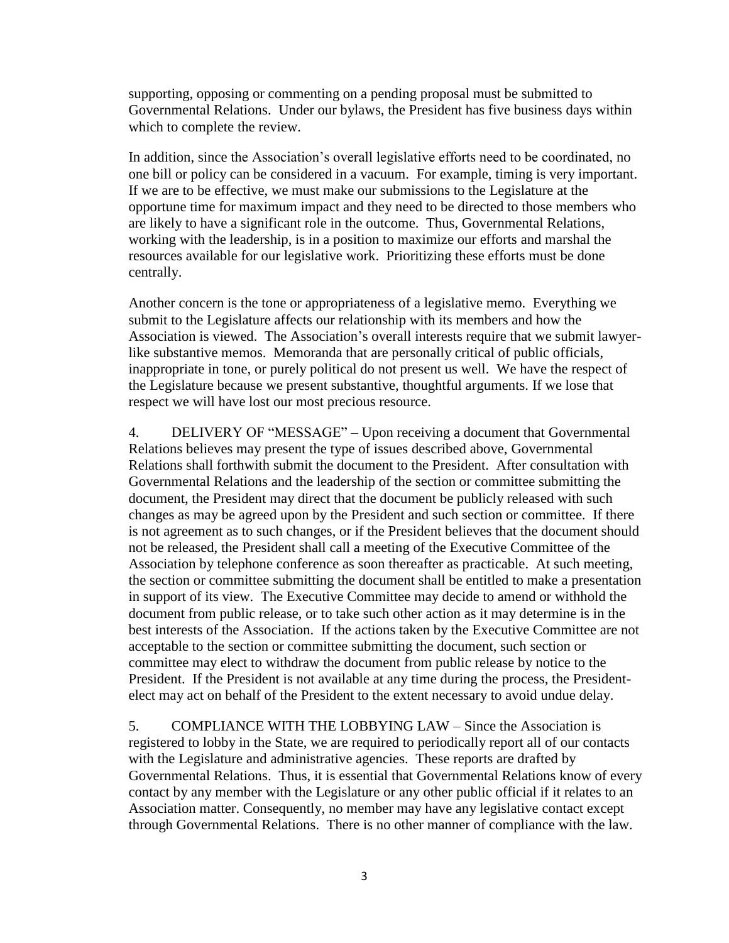supporting, opposing or commenting on a pending proposal must be submitted to Governmental Relations. Under our bylaws, the President has five business days within which to complete the review.

In addition, since the Association's overall legislative efforts need to be coordinated, no one bill or policy can be considered in a vacuum. For example, timing is very important. If we are to be effective, we must make our submissions to the Legislature at the opportune time for maximum impact and they need to be directed to those members who are likely to have a significant role in the outcome. Thus, Governmental Relations, working with the leadership, is in a position to maximize our efforts and marshal the resources available for our legislative work. Prioritizing these efforts must be done centrally.

Another concern is the tone or appropriateness of a legislative memo. Everything we submit to the Legislature affects our relationship with its members and how the Association is viewed. The Association's overall interests require that we submit lawyerlike substantive memos. Memoranda that are personally critical of public officials, inappropriate in tone, or purely political do not present us well. We have the respect of the Legislature because we present substantive, thoughtful arguments. If we lose that respect we will have lost our most precious resource.

4. DELIVERY OF "MESSAGE" – Upon receiving a document that Governmental Relations believes may present the type of issues described above, Governmental Relations shall forthwith submit the document to the President. After consultation with Governmental Relations and the leadership of the section or committee submitting the document, the President may direct that the document be publicly released with such changes as may be agreed upon by the President and such section or committee. If there is not agreement as to such changes, or if the President believes that the document should not be released, the President shall call a meeting of the Executive Committee of the Association by telephone conference as soon thereafter as practicable. At such meeting, the section or committee submitting the document shall be entitled to make a presentation in support of its view. The Executive Committee may decide to amend or withhold the document from public release, or to take such other action as it may determine is in the best interests of the Association. If the actions taken by the Executive Committee are not acceptable to the section or committee submitting the document, such section or committee may elect to withdraw the document from public release by notice to the President. If the President is not available at any time during the process, the Presidentelect may act on behalf of the President to the extent necessary to avoid undue delay.

5. COMPLIANCE WITH THE LOBBYING LAW – Since the Association is registered to lobby in the State, we are required to periodically report all of our contacts with the Legislature and administrative agencies. These reports are drafted by Governmental Relations. Thus, it is essential that Governmental Relations know of every contact by any member with the Legislature or any other public official if it relates to an Association matter. Consequently, no member may have any legislative contact except through Governmental Relations. There is no other manner of compliance with the law.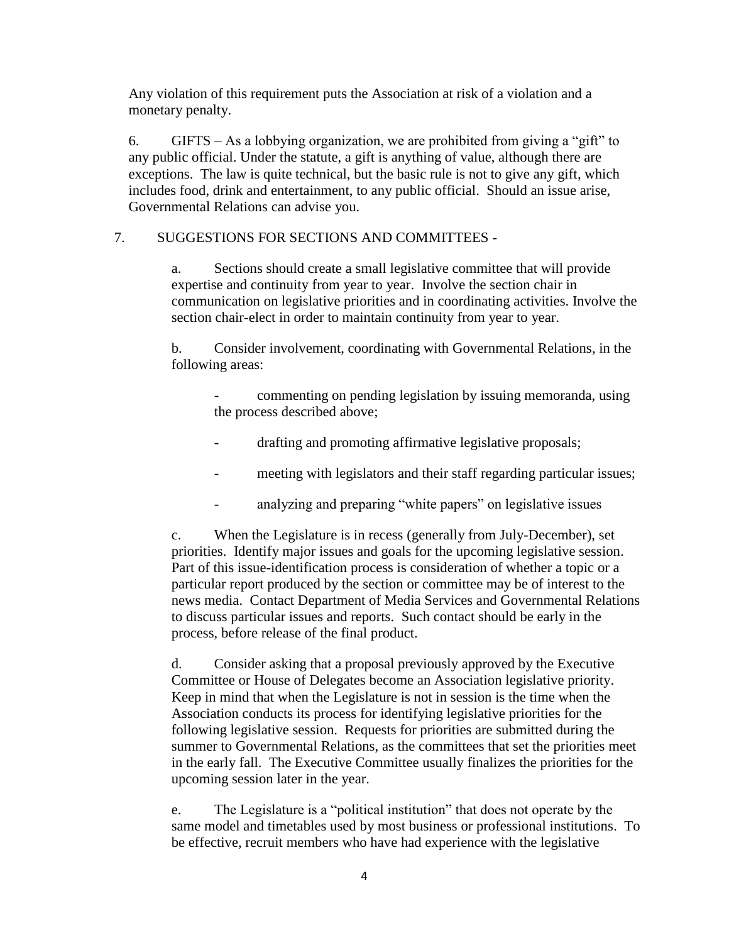Any violation of this requirement puts the Association at risk of a violation and a monetary penalty.

6. GIFTS – As a lobbying organization, we are prohibited from giving a "gift" to any public official. Under the statute, a gift is anything of value, although there are exceptions. The law is quite technical, but the basic rule is not to give any gift, which includes food, drink and entertainment, to any public official. Should an issue arise, Governmental Relations can advise you.

## 7. SUGGESTIONS FOR SECTIONS AND COMMITTEES -

a. Sections should create a small legislative committee that will provide expertise and continuity from year to year. Involve the section chair in communication on legislative priorities and in coordinating activities. Involve the section chair-elect in order to maintain continuity from year to year.

b. Consider involvement, coordinating with Governmental Relations, in the following areas:

- commenting on pending legislation by issuing memoranda, using the process described above;
- drafting and promoting affirmative legislative proposals;
- meeting with legislators and their staff regarding particular issues;
- analyzing and preparing "white papers" on legislative issues

c. When the Legislature is in recess (generally from July-December), set priorities. Identify major issues and goals for the upcoming legislative session. Part of this issue-identification process is consideration of whether a topic or a particular report produced by the section or committee may be of interest to the news media. Contact Department of Media Services and Governmental Relations to discuss particular issues and reports. Such contact should be early in the process, before release of the final product.

d. Consider asking that a proposal previously approved by the Executive Committee or House of Delegates become an Association legislative priority. Keep in mind that when the Legislature is not in session is the time when the Association conducts its process for identifying legislative priorities for the following legislative session. Requests for priorities are submitted during the summer to Governmental Relations, as the committees that set the priorities meet in the early fall. The Executive Committee usually finalizes the priorities for the upcoming session later in the year.

e. The Legislature is a "political institution" that does not operate by the same model and timetables used by most business or professional institutions. To be effective, recruit members who have had experience with the legislative